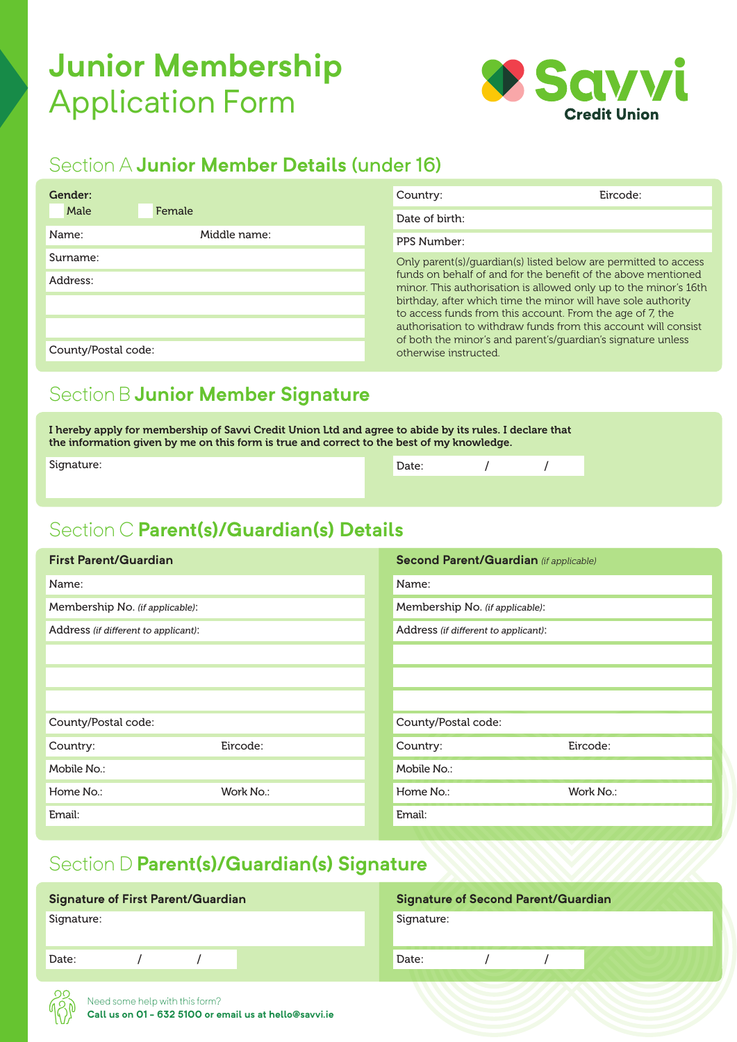# **Junior Membership**  Application Form



### Section A **Junior Member Details** (under 16)

| Gender:             |              | Country:                                                                                                                   | Eircode:                                                                                                                          |  |  |  |
|---------------------|--------------|----------------------------------------------------------------------------------------------------------------------------|-----------------------------------------------------------------------------------------------------------------------------------|--|--|--|
| Male                | Female       | Date of birth:                                                                                                             |                                                                                                                                   |  |  |  |
| Name:               | Middle name: | PPS Number:                                                                                                                |                                                                                                                                   |  |  |  |
| Surname:            |              | Only parent(s)/quardian(s) listed below are permitted to access                                                            |                                                                                                                                   |  |  |  |
| Address:            |              |                                                                                                                            | funds on behalf of and for the benefit of the above mentioned<br>minor. This authorisation is allowed only up to the minor's 16th |  |  |  |
|                     |              | birthday, after which time the minor will have sole authority<br>to access funds from this account. From the age of 7, the |                                                                                                                                   |  |  |  |
|                     |              |                                                                                                                            | authorisation to withdraw funds from this account will consist                                                                    |  |  |  |
| County/Postal code: |              |                                                                                                                            | of both the minor's and parent's/guardian's signature unless<br>otherwise instructed.                                             |  |  |  |
|                     |              |                                                                                                                            |                                                                                                                                   |  |  |  |

#### Section B **Junior Member Signature**

I hereby apply for membership of Savvi Credit Union Ltd and agree to abide by its rules. I declare that the information given by me on this form is true and correct to the best of my knowledge.

| Signature:<br>Date:<br>$\sqrt{2}$ |
|-----------------------------------|
|                                   |
|                                   |

### Section C **Parent(s)/Guardian(s) Details**

| <b>First Parent/Guardian</b>         |           | <b>Second Parent/Guardian (if applicable)</b> |           |  |
|--------------------------------------|-----------|-----------------------------------------------|-----------|--|
| Name:                                |           | Name:                                         |           |  |
| Membership No. (if applicable):      |           | Membership No. (if applicable):               |           |  |
| Address (if different to applicant): |           | Address (if different to applicant):          |           |  |
|                                      |           |                                               |           |  |
|                                      |           |                                               |           |  |
|                                      |           |                                               |           |  |
| County/Postal code:                  |           | County/Postal code:                           |           |  |
| Country:                             | Eircode:  | Country:                                      | Eircode:  |  |
| Mobile No.:                          |           | Mobile No.:                                   |           |  |
| Home No.:                            | Work No.: | Home No.:                                     | Work No.: |  |
| Email:                               |           | Email:                                        |           |  |

#### Section D **Parent(s)/Guardian(s) Signature**

| <b>Signature of First Parent/Guardian</b> |  |  | <b>Signature of Second Parent/Guardian</b> |       |  |  |  |  |
|-------------------------------------------|--|--|--------------------------------------------|-------|--|--|--|--|
| Signature:                                |  |  | Signature:                                 |       |  |  |  |  |
| Date:                                     |  |  |                                            | Date: |  |  |  |  |
|                                           |  |  |                                            |       |  |  |  |  |